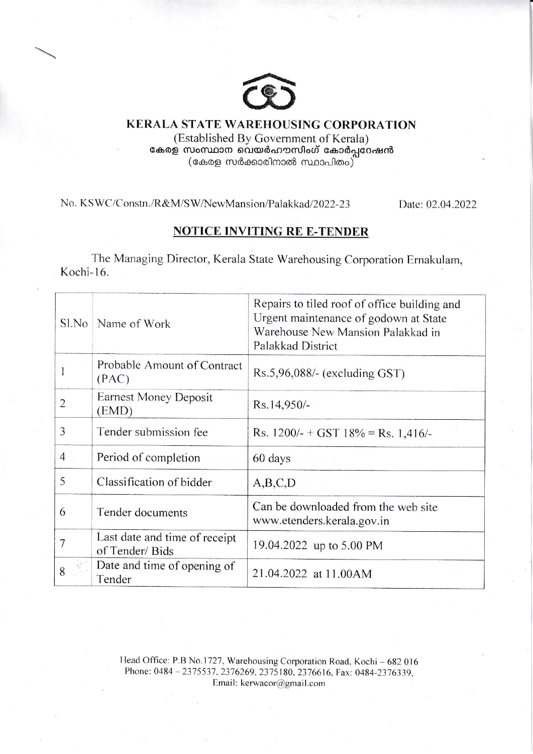

**KERALA STATE WAREHOUSING CORPORATION** (Established By Government of Kerala) കേരള സംസ്ഥാന വെയർഹൗസിംഗ് കോർപ്പറേഷൻ (കേരള സർക്കാരിനാൽ സ്ഥാപിതം)

No. KSWC/Constn./R&M/SW/NewMansion/Palakkad/2022-23

Date: 02.04.2022

## **NOTICE INVITING RE E-TENDER**

The Managing Director, Kerala State Warehousing Corporation Ernakulam, Kochi-16.

| Sl.No          | Name of Work                                    | Repairs to tiled roof of office building and<br>Urgent maintenance of godown at State<br>Warehouse New Mansion Palakkad in<br>Palakkad District |  |  |
|----------------|-------------------------------------------------|-------------------------------------------------------------------------------------------------------------------------------------------------|--|--|
|                | Probable Amount of Contract<br>(PAC)            | $Rs.5,96,088/-$ (excluding GST)                                                                                                                 |  |  |
| $\overline{2}$ | <b>Earnest Money Deposit</b><br>(EMD)           | Rs.14,950/-                                                                                                                                     |  |  |
| 3              | Tender submission fee                           | Rs. $1200/- + GST$ 18% = Rs. 1,416/-                                                                                                            |  |  |
| $4 \quad$      | Period of completion                            | 60 days                                                                                                                                         |  |  |
| 5              | Classification of bidder                        | A,B,C,D                                                                                                                                         |  |  |
| 6              | Tender documents                                | Can be downloaded from the web site<br>www.etenders.kerala.gov.in                                                                               |  |  |
| 7              | Last date and time of receipt<br>of Tender/Bids | 19.04.2022 up to 5.00 PM                                                                                                                        |  |  |
| 8              | Date and time of opening of<br>Tender           | 21.04.2022 at 11.00AM                                                                                                                           |  |  |

Head Office: P.B No.1727, Warehousing Corporation Road, Kochi - 682 016 Phone: 0484-2375537, 2376269, 2375180, 2376616, Fax: 0484-2376339, Email: kerwacor@gmail.com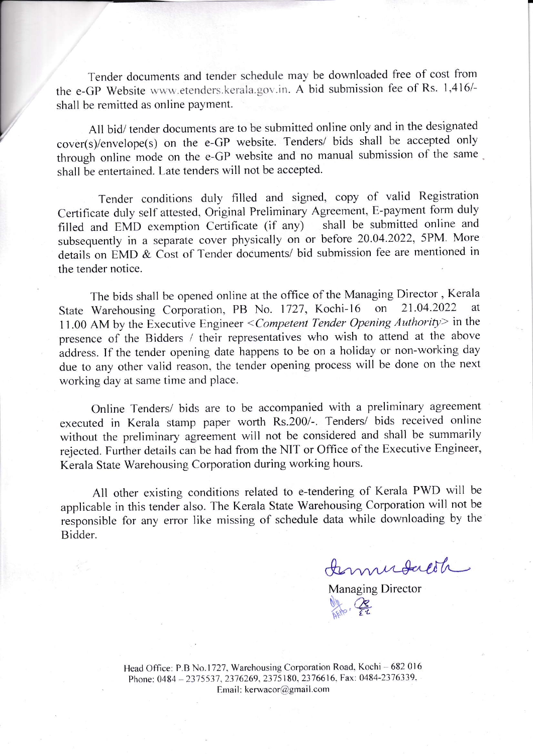Tender documents and tender schedule may be downloaded free of cost from the e-GP Website www.etenders.kerala.gov.in. A bid submission fee of Rs. 1,416/shall be remitted as online payment.

Al1 bid/ tender documents are to be submitted online only and in the designated cover(s)/envelope(s) on the e-GP website. Tenders/ bids shall be accepted only through online mode on the e-GP website and no manual submission of the same shall be entertained. Late tenders will not be accepted.

Tender conditions duly filled and signed, copy of valid Registration Certificate duly self attested, Original Preliminary Agreement, E-payment form duly<br>filled and FMD exemption Certificate (if any) shall be submitted online and filled and EMD exemption Certificate (if any) subsequently in a separate cover physically on or before 20.04.2022, 5PM. More details on EMD & Cost of Tender documents/ bid submission fee are mentioned in the tender notice.

The bids shall be opened online at the office of the Managing Director, Kerala<br>Warehousing Corporation, PB No. 1727, Kochi-16 on 21.04.2022 at State Warehousing Corporation, PB No. 1727, Kochi-16 11.00 AM by the Executive Engineer < Competent Tender Opening Authority> in the presence of the Bidders / their representatives who wish to attend at the above address. If the tender opening date happens to be on a holiday or non-working day due to any other valid reason, the tender opening process will be done on the next working day at same time and place.

Online Tenders/ bids are to be accompanied with a preliminary agreement executed in Kerala stamp paper worth Rs.200/-. Tenders/ bids received online without the preliminary agreement will not be considered and shall be summarily rejected. Further details can be had from the NIT or Office of the Executive Engineer. Kerala State Warehousing Corporation during working hours.

All other existing conditions related to e-tendering of Kerala PWD will be applicable in this tender also. The Kerala State Warehousing Corporation will not be responsible for any error like missing of schedule data while downloading by the Bidder.

Immedacite

Managing Director Ny<sub>sito</sub>, 25

Head Office: P.B No.1727, Warehousing Corporation Road, Kochi - 682 016 Phone: 0484 - 2375537, 2376269, 2375180, 2376616, Fax: 0484-2376339, Email: kerwacor@gmail.com